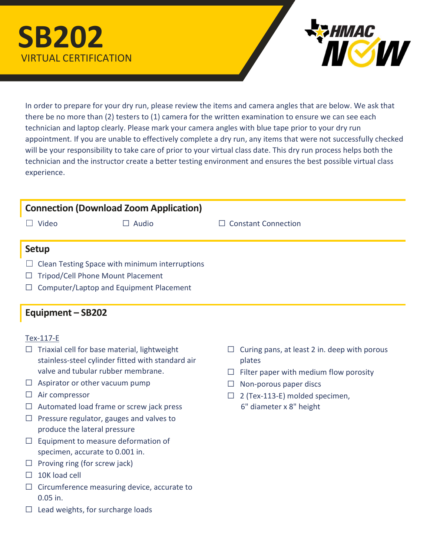# SB202 VIRTUAL CERTIFICATION



In order to prepare for your dry run, please review the items and camera angles that are below. We ask that there be no more than (2) testers to (1) camera for the written examination to ensure we can see each technician and laptop clearly. Please mark your camera angles with blue tape prior to your dry run appointment. If you are unable to effectively complete a dry run, any items that were not successfully checked will be your responsibility to take care of prior to your virtual class date. This dry run process helps both the technician and the instructor create a better testing environment and ensures the best possible virtual class experience.

## Connection (Download Zoom Application)

☐ Video ☐ Audio ☐ Constant Connection

#### Setup

- $\Box$  Clean Testing Space with minimum interruptions
- ☐ Tripod/Cell Phone Mount Placement
- $\Box$  Computer/Laptop and Equipment Placement

### Equipment – SB202

#### Tex-117-E

- $\Box$  Triaxial cell for base material, lightweight stainless-steel cylinder fitted with standard air valve and tubular rubber membrane.
- $\Box$  Aspirator or other vacuum pump
- ☐ Air compressor
- $\Box$  Automated load frame or screw jack press
- $\Box$  Pressure regulator, gauges and valves to produce the lateral pressure
- $\Box$  Equipment to measure deformation of specimen, accurate to 0.001 in.
- $\Box$  Proving ring (for screw jack)
- $\Box$  10K load cell
- ☐ Circumference measuring device, accurate to 0.05 in.
- $\Box$  Lead weights, for surcharge loads
- $\Box$  Curing pans, at least 2 in. deep with porous plates
- $\Box$  Filter paper with medium flow porosity
- $\Box$  Non-porous paper discs
- $\Box$  2 (Tex-113-E) molded specimen, 6" diameter x 8" height